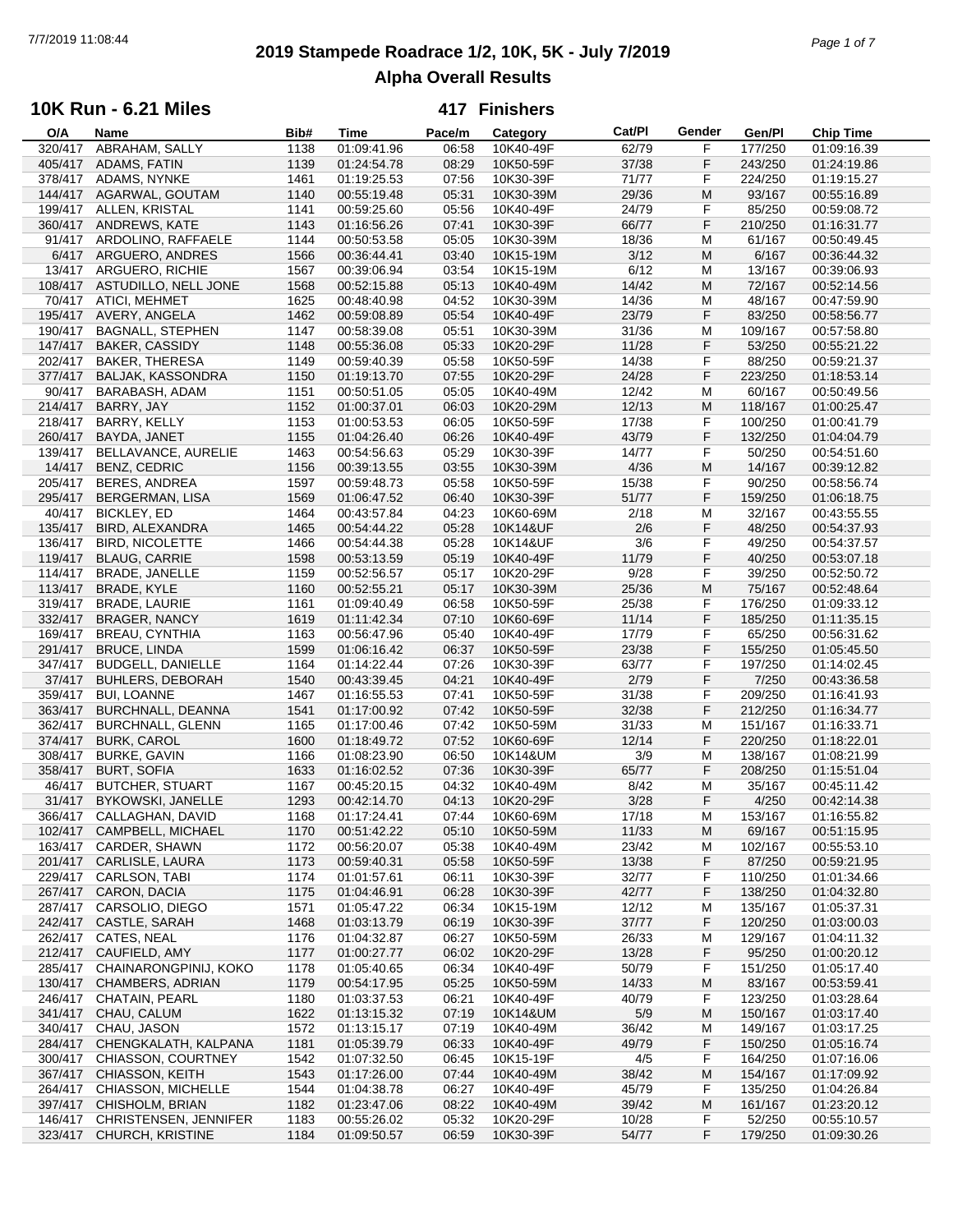## **2019 Stampede Roadrace 1/2, 10K, 5K - July 7/2019** 7/7/2019 11:08:44 *Page 1 of 7* **Alpha Overall Results**

### **10K Run - 6.21 Miles**

| O/A     | Name                         | Bib# | Time        | Pace/m | Category  | Cat/Pl | Gender | Gen/Pl  | Chip Time   |  |
|---------|------------------------------|------|-------------|--------|-----------|--------|--------|---------|-------------|--|
| 320/417 | ABRAHAM, SALLY               | 1138 | 01:09:41.96 | 06:58  | 10K40-49F | 62/79  | F      | 177/250 | 01:09:16.39 |  |
| 405/417 | ADAMS, FATIN                 | 1139 | 01:24:54.78 | 08:29  | 10K50-59F | 37/38  | F      | 243/250 | 01:24:19.86 |  |
| 378/417 | ADAMS, NYNKE                 | 1461 | 01:19:25.53 | 07:56  | 10K30-39F | 71/77  | F      | 224/250 | 01:19:15.27 |  |
| 144/417 | AGARWAL, GOUTAM              | 1140 | 00:55:19.48 | 05:31  | 10K30-39M | 29/36  | M      | 93/167  | 00:55:16.89 |  |
| 199/417 | ALLEN, KRISTAL               | 1141 | 00:59:25.60 | 05:56  | 10K40-49F | 24/79  | F      | 85/250  | 00:59:08.72 |  |
|         |                              |      |             |        |           |        |        |         |             |  |
|         | 360/417 ANDREWS, KATE        | 1143 | 01:16:56.26 | 07:41  | 10K30-39F | 66/77  | F      | 210/250 | 01:16:31.77 |  |
| 91/417  | ARDOLINO, RAFFAELE           | 1144 | 00:50:53.58 | 05:05  | 10K30-39M | 18/36  | M      | 61/167  | 00:50:49.45 |  |
|         | 6/417 ARGUERO, ANDRES        | 1566 | 00:36:44.41 | 03:40  | 10K15-19M | 3/12   | M      | 6/167   | 00:36:44.32 |  |
| 13/417  | ARGUERO, RICHIE              | 1567 | 00:39:06.94 | 03:54  | 10K15-19M | 6/12   | M      | 13/167  | 00:39:06.93 |  |
|         | 108/417 ASTUDILLO, NELL JONE | 1568 | 00:52:15.88 | 05:13  | 10K40-49M | 14/42  | M      | 72/167  | 00:52:14.56 |  |
|         | 70/417 ATICI. MEHMET         | 1625 | 00:48:40.98 | 04:52  | 10K30-39M | 14/36  | M      | 48/167  | 00:47:59.90 |  |
|         | 195/417 AVERY, ANGELA        | 1462 | 00:59:08.89 | 05:54  | 10K40-49F | 23/79  | F      | 83/250  | 00:58:56.77 |  |
| 190/417 | <b>BAGNALL, STEPHEN</b>      | 1147 | 00:58:39.08 | 05:51  | 10K30-39M | 31/36  | M      | 109/167 | 00:57:58.80 |  |
| 147/417 | <b>BAKER, CASSIDY</b>        | 1148 | 00:55:36.08 | 05:33  | 10K20-29F | 11/28  | F      | 53/250  | 00:55:21.22 |  |
| 202/417 |                              |      |             |        |           |        |        |         |             |  |
|         | <b>BAKER, THERESA</b>        | 1149 | 00:59:40.39 | 05:58  | 10K50-59F | 14/38  | F      | 88/250  | 00:59:21.37 |  |
| 377/417 | <b>BALJAK, KASSONDRA</b>     | 1150 | 01:19:13.70 | 07:55  | 10K20-29F | 24/28  | F      | 223/250 | 01:18:53.14 |  |
| 90/417  | BARABASH, ADAM               | 1151 | 00:50:51.05 | 05:05  | 10K40-49M | 12/42  | M      | 60/167  | 00:50:49.56 |  |
| 214/417 | BARRY, JAY                   | 1152 | 01:00:37.01 | 06:03  | 10K20-29M | 12/13  | M      | 118/167 | 01:00:25.47 |  |
| 218/417 | BARRY, KELLY                 | 1153 | 01:00:53.53 | 06:05  | 10K50-59F | 17/38  | F      | 100/250 | 01:00:41.79 |  |
| 260/417 | BAYDA, JANET                 | 1155 | 01:04:26.40 | 06:26  | 10K40-49F | 43/79  | F      | 132/250 | 01:04:04.79 |  |
| 139/417 | <b>BELLAVANCE, AURELIE</b>   | 1463 | 00:54:56.63 | 05:29  | 10K30-39F | 14/77  | F      | 50/250  | 00:54:51.60 |  |
| 14/417  | <b>BENZ, CEDRIC</b>          | 1156 | 00:39:13.55 | 03:55  | 10K30-39M | 4/36   | M      | 14/167  | 00:39:12.82 |  |
| 205/417 | <b>BERES, ANDREA</b>         | 1597 | 00:59:48.73 | 05:58  | 10K50-59F | 15/38  | F      | 90/250  | 00:58:56.74 |  |
|         |                              |      |             |        |           |        |        |         |             |  |
| 295/417 | <b>BERGERMAN, LISA</b>       | 1569 | 01:06:47.52 | 06:40  | 10K30-39F | 51/77  | F      | 159/250 | 01:06:18.75 |  |
| 40/417  | <b>BICKLEY, ED</b>           | 1464 | 00:43:57.84 | 04:23  | 10K60-69M | 2/18   | M      | 32/167  | 00:43:55.55 |  |
| 135/417 | BIRD, ALEXANDRA              | 1465 | 00:54:44.22 | 05:28  | 10K14&UF  | 2/6    | F      | 48/250  | 00:54:37.93 |  |
| 136/417 | <b>BIRD, NICOLETTE</b>       | 1466 | 00:54:44.38 | 05:28  | 10K14&UF  | 3/6    | F      | 49/250  | 00:54:37.57 |  |
| 119/417 | <b>BLAUG, CARRIE</b>         | 1598 | 00:53:13.59 | 05:19  | 10K40-49F | 11/79  | F      | 40/250  | 00:53:07.18 |  |
| 114/417 | <b>BRADE, JANELLE</b>        | 1159 | 00:52:56.57 | 05:17  | 10K20-29F | 9/28   | F      | 39/250  | 00:52:50.72 |  |
| 113/417 | <b>BRADE, KYLE</b>           | 1160 | 00:52:55.21 | 05:17  | 10K30-39M | 25/36  | M      | 75/167  | 00:52:48.64 |  |
| 319/417 | <b>BRADE, LAURIE</b>         | 1161 | 01:09:40.49 | 06:58  | 10K50-59F | 25/38  | F      | 176/250 | 01:09:33.12 |  |
| 332/417 | <b>BRAGER, NANCY</b>         | 1619 | 01:11:42.34 | 07:10  | 10K60-69F | 11/14  | F      | 185/250 | 01:11:35.15 |  |
| 169/417 | <b>BREAU, CYNTHIA</b>        | 1163 | 00:56:47.96 | 05:40  | 10K40-49F | 17/79  | F      | 65/250  | 00:56:31.62 |  |
| 291/417 | <b>BRUCE, LINDA</b>          | 1599 | 01:06:16.42 | 06:37  | 10K50-59F | 23/38  | F      | 155/250 | 01:05:45.50 |  |
| 347/417 | <b>BUDGELL, DANIELLE</b>     | 1164 | 01:14:22.44 | 07:26  | 10K30-39F | 63/77  | F      | 197/250 | 01:14:02.45 |  |
|         |                              |      |             |        |           |        |        |         |             |  |
| 37/417  | <b>BUHLERS, DEBORAH</b>      | 1540 | 00:43:39.45 | 04:21  | 10K40-49F | 2/79   | F      | 7/250   | 00:43:36.58 |  |
| 359/417 | <b>BUI, LOANNE</b>           | 1467 | 01:16:55.53 | 07:41  | 10K50-59F | 31/38  | F      | 209/250 | 01:16:41.93 |  |
| 363/417 | BURCHNALL, DEANNA            | 1541 | 01:17:00.92 | 07:42  | 10K50-59F | 32/38  | F      | 212/250 | 01:16:34.77 |  |
| 362/417 | <b>BURCHNALL, GLENN</b>      | 1165 | 01:17:00.46 | 07:42  | 10K50-59M | 31/33  | M      | 151/167 | 01:16:33.71 |  |
| 374/417 | <b>BURK, CAROL</b>           | 1600 | 01:18:49.72 | 07:52  | 10K60-69F | 12/14  | F      | 220/250 | 01:18:22.01 |  |
| 308/417 | <b>BURKE, GAVIN</b>          | 1166 | 01:08:23.90 | 06:50  | 10K14&UM  | 3/9    | M      | 138/167 | 01:08:21.99 |  |
| 358/417 | <b>BURT, SOFIA</b>           | 1633 | 01:16:02.52 | 07:36  | 10K30-39F | 65/77  | F      | 208/250 | 01:15:51.04 |  |
| 46/417  | <b>BUTCHER, STUART</b>       | 1167 | 00:45:20.15 | 04:32  | 10K40-49M | 8/42   | М      | 35/167  | 00:45:11.42 |  |
| 31/417  | <b>BYKOWSKI, JANELLE</b>     | 1293 | 00:42:14.70 | 04:13  | 10K20-29F | 3/28   | F      | 4/250   | 00:42:14.38 |  |
| 366/417 | CALLAGHAN, DAVID             | 1168 | 01:17:24.41 | 07:44  | 10K60-69M | 17/18  | M      | 153/167 | 01:16:55.82 |  |
| 102/417 | CAMPBELL, MICHAEL            | 1170 | 00:51:42.22 | 05:10  | 10K50-59M | 11/33  | M      | 69/167  | 00:51:15.95 |  |
| 163/417 | CARDER, SHAWN                | 1172 | 00:56:20.07 | 05:38  | 10K40-49M | 23/42  |        | 102/167 | 00:55:53.10 |  |
|         |                              |      |             |        |           |        | M      |         |             |  |
| 201/417 | <b>CARLISLE, LAURA</b>       | 1173 | 00:59:40.31 | 05:58  | 10K50-59F | 13/38  | F      | 87/250  | 00:59:21.95 |  |
| 229/417 | <b>CARLSON, TABI</b>         | 1174 | 01:01:57.61 | 06:11  | 10K30-39F | 32/77  | F      | 110/250 | 01:01:34.66 |  |
| 267/417 | CARON, DACIA                 | 1175 | 01:04:46.91 | 06:28  | 10K30-39F | 42/77  | F      | 138/250 | 01:04:32.80 |  |
| 287/417 | CARSOLIO, DIEGO              | 1571 | 01:05:47.22 | 06:34  | 10K15-19M | 12/12  | м      | 135/167 | 01:05:37.31 |  |
| 242/417 | <b>CASTLE, SARAH</b>         | 1468 | 01:03:13.79 | 06:19  | 10K30-39F | 37/77  | F      | 120/250 | 01:03:00.03 |  |
| 262/417 | CATES, NEAL                  | 1176 | 01:04:32.87 | 06:27  | 10K50-59M | 26/33  | M      | 129/167 | 01:04:11.32 |  |
| 212/417 | CAUFIELD, AMY                | 1177 | 01:00:27.77 | 06:02  | 10K20-29F | 13/28  | F      | 95/250  | 01:00:20.12 |  |
| 285/417 | CHAINARONGPINIJ, KOKO        | 1178 | 01:05:40.65 | 06:34  | 10K40-49F | 50/79  | F      | 151/250 | 01:05:17.40 |  |
| 130/417 | CHAMBERS, ADRIAN             | 1179 | 00:54:17.95 | 05:25  | 10K50-59M | 14/33  | M      | 83/167  | 00:53:59.41 |  |
| 246/417 | CHATAIN, PEARL               | 1180 | 01:03:37.53 | 06:21  | 10K40-49F | 40/79  | F      | 123/250 | 01:03:28.64 |  |
|         |                              |      |             |        |           |        |        |         |             |  |
| 341/417 | CHAU, CALUM                  | 1622 | 01:13:15.32 | 07:19  | 10K14&UM  | 5/9    | M      | 150/167 | 01:03:17.40 |  |
| 340/417 | CHAU, JASON                  | 1572 | 01:13:15.17 | 07:19  | 10K40-49M | 36/42  | м      | 149/167 | 01:03:17.25 |  |
| 284/417 | CHENGKALATH, KALPANA         | 1181 | 01:05:39.79 | 06:33  | 10K40-49F | 49/79  | F      | 150/250 | 01:05:16.74 |  |
| 300/417 | CHIASSON, COURTNEY           | 1542 | 01:07:32.50 | 06:45  | 10K15-19F | 4/5    | F      | 164/250 | 01:07:16.06 |  |
| 367/417 | CHIASSON, KEITH              | 1543 | 01:17:26.00 | 07:44  | 10K40-49M | 38/42  | M      | 154/167 | 01:17:09.92 |  |
| 264/417 | CHIASSON, MICHELLE           | 1544 | 01:04:38.78 | 06:27  | 10K40-49F | 45/79  | F      | 135/250 | 01:04:26.84 |  |
| 397/417 | CHISHOLM, BRIAN              | 1182 | 01:23:47.06 | 08:22  | 10K40-49M | 39/42  | M      | 161/167 | 01:23:20.12 |  |
| 146/417 | CHRISTENSEN, JENNIFER        | 1183 | 00:55:26.02 | 05:32  | 10K20-29F | 10/28  | F      | 52/250  | 00:55:10.57 |  |
| 323/417 | CHURCH, KRISTINE             | 1184 | 01:09:50.57 | 06:59  | 10K30-39F | 54/77  | F      | 179/250 | 01:09:30.26 |  |
|         |                              |      |             |        |           |        |        |         |             |  |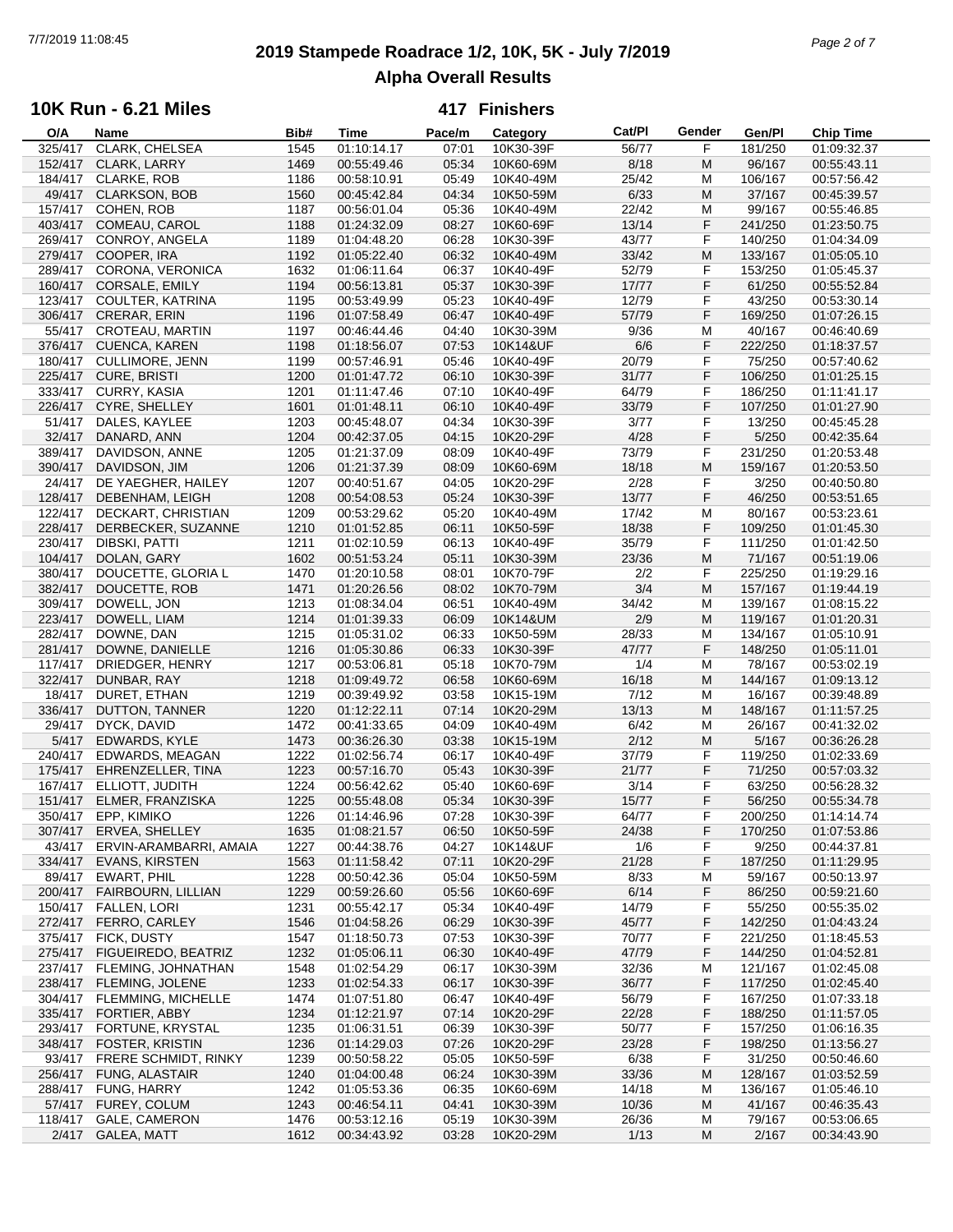## **2019 Stampede Roadrace 1/2, 10K, 5K - July 7/2019** 7/7/2019 11:08:45 *Page 2 of 7* **Alpha Overall Results**

## **10K Run - 6.21 Miles**

| O/A     | Name                      | Bib# | Time        | Pace/m | Category  | Cat/Pl | Gender | Gen/Pl  | <b>Chip Time</b> |  |
|---------|---------------------------|------|-------------|--------|-----------|--------|--------|---------|------------------|--|
| 325/417 | CLARK, CHELSEA            | 1545 | 01:10:14.17 | 07:01  | 10K30-39F | 56/77  | F      | 181/250 | 01:09:32.37      |  |
| 152/417 | CLARK, LARRY              | 1469 | 00:55:49.46 | 05:34  | 10K60-69M | 8/18   | M      | 96/167  | 00:55:43.11      |  |
| 184/417 | <b>CLARKE, ROB</b>        | 1186 | 00:58:10.91 | 05:49  | 10K40-49M | 25/42  | M      | 106/167 | 00:57:56.42      |  |
| 49/417  | <b>CLARKSON, BOB</b>      | 1560 | 00:45:42.84 | 04:34  | 10K50-59M | 6/33   | M      | 37/167  | 00:45:39.57      |  |
| 157/417 | COHEN, ROB                |      | 00:56:01.04 | 05:36  | 10K40-49M | 22/42  | M      |         |                  |  |
|         |                           | 1187 |             |        |           |        |        | 99/167  | 00:55:46.85      |  |
| 403/417 | <b>COMEAU, CAROL</b>      | 1188 | 01:24:32.09 | 08:27  | 10K60-69F | 13/14  | F      | 241/250 | 01:23:50.75      |  |
| 269/417 | CONROY, ANGELA            | 1189 | 01:04:48.20 | 06:28  | 10K30-39F | 43/77  | F      | 140/250 | 01:04:34.09      |  |
| 279/417 | COOPER, IRA               | 1192 | 01:05:22.40 | 06:32  | 10K40-49M | 33/42  | M      | 133/167 | 01:05:05.10      |  |
| 289/417 | CORONA, VERONICA          | 1632 | 01:06:11.64 | 06:37  | 10K40-49F | 52/79  | F      | 153/250 | 01:05:45.37      |  |
| 160/417 | CORSALE, EMILY            | 1194 | 00:56:13.81 | 05:37  | 10K30-39F | 17/77  | F      | 61/250  | 00:55:52.84      |  |
| 123/417 | COULTER, KATRINA          | 1195 | 00:53:49.99 | 05:23  | 10K40-49F | 12/79  | F      | 43/250  | 00:53:30.14      |  |
| 306/417 | CRERAR, ERIN              | 1196 | 01:07:58.49 | 06:47  | 10K40-49F | 57/79  | F      | 169/250 | 01:07:26.15      |  |
|         |                           |      |             |        |           |        |        |         |                  |  |
| 55/417  | CROTEAU, MARTIN           | 1197 | 00:46:44.46 | 04:40  | 10K30-39M | 9/36   | M      | 40/167  | 00:46:40.69      |  |
|         | 376/417 CUENCA, KAREN     | 1198 | 01:18:56.07 | 07:53  | 10K14&UF  | 6/6    | F      | 222/250 | 01:18:37.57      |  |
| 180/417 | <b>CULLIMORE, JENN</b>    | 1199 | 00:57:46.91 | 05:46  | 10K40-49F | 20/79  | F      | 75/250  | 00:57:40.62      |  |
| 225/417 | <b>CURE, BRISTI</b>       | 1200 | 01:01:47.72 | 06:10  | 10K30-39F | 31/77  | F      | 106/250 | 01:01:25.15      |  |
| 333/417 | <b>CURRY, KASIA</b>       | 1201 | 01:11:47.46 | 07:10  | 10K40-49F | 64/79  | F      | 186/250 | 01:11:41.17      |  |
| 226/417 | CYRE, SHELLEY             | 1601 | 01:01:48.11 | 06:10  | 10K40-49F | 33/79  | F      | 107/250 | 01:01:27.90      |  |
| 51/417  | DALES, KAYLEE             | 1203 | 00:45:48.07 | 04:34  | 10K30-39F | 3/77   | F      | 13/250  | 00:45:45.28      |  |
| 32/417  |                           |      |             |        |           |        |        |         |                  |  |
|         | DANARD, ANN               | 1204 | 00:42:37.05 | 04:15  | 10K20-29F | 4/28   | F      | 5/250   | 00:42:35.64      |  |
| 389/417 | DAVIDSON, ANNE            | 1205 | 01:21:37.09 | 08:09  | 10K40-49F | 73/79  | F      | 231/250 | 01:20:53.48      |  |
| 390/417 | DAVIDSON, JIM             | 1206 | 01:21:37.39 | 08:09  | 10K60-69M | 18/18  | M      | 159/167 | 01:20:53.50      |  |
| 24/417  | DE YAEGHER, HAILEY        | 1207 | 00:40:51.67 | 04:05  | 10K20-29F | 2/28   | F      | 3/250   | 00:40:50.80      |  |
| 128/417 | DEBENHAM, LEIGH           | 1208 | 00:54:08.53 | 05:24  | 10K30-39F | 13/77  | F      | 46/250  | 00:53:51.65      |  |
| 122/417 | DECKART, CHRISTIAN        | 1209 | 00:53:29.62 | 05:20  | 10K40-49M | 17/42  | M      | 80/167  | 00:53:23.61      |  |
| 228/417 | DERBECKER, SUZANNE        | 1210 | 01:01:52.85 | 06:11  | 10K50-59F | 18/38  | F      | 109/250 | 01:01:45.30      |  |
| 230/417 | DIBSKI, PATTI             | 1211 | 01:02:10.59 | 06:13  | 10K40-49F | 35/79  | F      | 111/250 | 01:01:42.50      |  |
|         |                           |      |             |        |           |        |        |         |                  |  |
| 104/417 | DOLAN, GARY               | 1602 | 00:51:53.24 | 05:11  | 10K30-39M | 23/36  | M      | 71/167  | 00:51:19.06      |  |
| 380/417 | DOUCETTE, GLORIA L        | 1470 | 01:20:10.58 | 08:01  | 10K70-79F | 2/2    | F      | 225/250 | 01:19:29.16      |  |
| 382/417 | DOUCETTE, ROB             | 1471 | 01:20:26.56 | 08:02  | 10K70-79M | 3/4    | M      | 157/167 | 01:19:44.19      |  |
| 309/417 | DOWELL, JON               | 1213 | 01:08:34.04 | 06:51  | 10K40-49M | 34/42  | M      | 139/167 | 01:08:15.22      |  |
| 223/417 | DOWELL, LIAM              | 1214 | 01:01:39.33 | 06:09  | 10K14&UM  | 2/9    | M      | 119/167 | 01:01:20.31      |  |
| 282/417 | DOWNE, DAN                | 1215 | 01:05:31.02 | 06:33  | 10K50-59M | 28/33  | M      | 134/167 | 01:05:10.91      |  |
| 281/417 | DOWNE, DANIELLE           | 1216 | 01:05:30.86 | 06:33  | 10K30-39F | 47/77  | F      | 148/250 | 01:05:11.01      |  |
| 117/417 |                           |      |             | 05:18  |           |        |        |         |                  |  |
|         | DRIEDGER, HENRY           | 1217 | 00:53:06.81 |        | 10K70-79M | 1/4    | M      | 78/167  | 00:53:02.19      |  |
| 322/417 | DUNBAR, RAY               | 1218 | 01:09:49.72 | 06:58  | 10K60-69M | 16/18  | M      | 144/167 | 01:09:13.12      |  |
| 18/417  | DURET, ETHAN              | 1219 | 00:39:49.92 | 03:58  | 10K15-19M | 7/12   | M      | 16/167  | 00:39:48.89      |  |
| 336/417 | DUTTON, TANNER            | 1220 | 01:12:22.11 | 07:14  | 10K20-29M | 13/13  | M      | 148/167 | 01:11:57.25      |  |
| 29/417  | DYCK, DAVID               | 1472 | 00:41:33.65 | 04:09  | 10K40-49M | 6/42   | M      | 26/167  | 00:41:32.02      |  |
| 5/417   | EDWARDS, KYLE             | 1473 | 00:36:26.30 | 03:38  | 10K15-19M | 2/12   | M      | 5/167   | 00:36:26.28      |  |
| 240/417 | EDWARDS, MEAGAN           | 1222 | 01:02:56.74 | 06:17  | 10K40-49F | 37/79  | F      | 119/250 | 01:02:33.69      |  |
| 175/417 | EHRENZELLER, TINA         | 1223 | 00:57:16.70 | 05:43  | 10K30-39F | 21/77  | F      | 71/250  | 00:57:03.32      |  |
| 167/417 |                           | 1224 |             |        |           | 3/14   | F      |         |                  |  |
|         | ELLIOTT, JUDITH           |      | 00:56:42.62 | 05:40  | 10K60-69F |        |        | 63/250  | 00:56:28.32      |  |
| 151/417 | ELMER, FRANZISKA          | 1225 | 00:55:48.08 | 05:34  | 10K30-39F | 15/77  | F      | 56/250  | 00:55:34.78      |  |
| 350/417 | EPP, KIMIKO               | 1226 | 01:14:46.96 | 07:28  | 10K30-39F | 64/77  | F      | 200/250 | 01:14:14.74      |  |
|         | 307/417 ERVEA, SHELLEY    | 1635 | 01:08:21.57 | 06:50  | 10K50-59F | 24/38  | F      | 170/250 | 01:07:53.86      |  |
| 43/417  | ERVIN-ARAMBARRI, AMAIA    | 1227 | 00:44:38.76 | 04:27  | 10K14&UF  | 1/6    | F      | 9/250   | 00:44:37.81      |  |
| 334/417 | <b>EVANS, KIRSTEN</b>     | 1563 | 01:11:58.42 | 07:11  | 10K20-29F | 21/28  | F      | 187/250 | 01:11:29.95      |  |
| 89/417  | EWART, PHIL               | 1228 | 00:50:42.36 | 05:04  | 10K50-59M | 8/33   | M      | 59/167  | 00:50:13.97      |  |
| 200/417 | FAIRBOURN, LILLIAN        | 1229 | 00:59:26.60 | 05:56  | 10K60-69F | 6/14   | F      | 86/250  | 00:59:21.60      |  |
| 150/417 | FALLEN, LORI              | 1231 | 00:55:42.17 | 05:34  | 10K40-49F | 14/79  | F      | 55/250  | 00:55:35.02      |  |
|         |                           |      |             |        |           |        |        |         |                  |  |
| 272/417 | FERRO, CARLEY             | 1546 | 01:04:58.26 | 06:29  | 10K30-39F | 45/77  | F      | 142/250 | 01:04:43.24      |  |
| 375/417 | FICK, DUSTY               | 1547 | 01:18:50.73 | 07:53  | 10K30-39F | 70/77  | F      | 221/250 | 01:18:45.53      |  |
| 275/417 | FIGUEIREDO, BEATRIZ       | 1232 | 01:05:06.11 | 06:30  | 10K40-49F | 47/79  | F      | 144/250 | 01:04:52.81      |  |
| 237/417 | FLEMING, JOHNATHAN        | 1548 | 01:02:54.29 | 06:17  | 10K30-39M | 32/36  | M      | 121/167 | 01:02:45.08      |  |
| 238/417 | FLEMING, JOLENE           | 1233 | 01:02:54.33 | 06:17  | 10K30-39F | 36/77  | F      | 117/250 | 01:02:45.40      |  |
| 304/417 | <b>FLEMMING, MICHELLE</b> | 1474 | 01:07:51.80 | 06:47  | 10K40-49F | 56/79  | F      | 167/250 | 01:07:33.18      |  |
| 335/417 | FORTIER, ABBY             | 1234 | 01:12:21.97 | 07:14  | 10K20-29F | 22/28  | F      | 188/250 | 01:11:57.05      |  |
|         |                           |      |             |        |           |        | F      |         |                  |  |
| 293/417 | FORTUNE, KRYSTAL          | 1235 | 01:06:31.51 | 06:39  | 10K30-39F | 50/77  |        | 157/250 | 01:06:16.35      |  |
| 348/417 | <b>FOSTER, KRISTIN</b>    | 1236 | 01:14:29.03 | 07:26  | 10K20-29F | 23/28  | F      | 198/250 | 01:13:56.27      |  |
| 93/417  | FRERE SCHMIDT, RINKY      | 1239 | 00:50:58.22 | 05:05  | 10K50-59F | 6/38   | F      | 31/250  | 00:50:46.60      |  |
| 256/417 | FUNG, ALASTAIR            | 1240 | 01:04:00.48 | 06:24  | 10K30-39M | 33/36  | M      | 128/167 | 01:03:52.59      |  |
| 288/417 | FUNG, HARRY               | 1242 | 01:05:53.36 | 06:35  | 10K60-69M | 14/18  | M      | 136/167 | 01:05:46.10      |  |
| 57/417  | FUREY, COLUM              | 1243 | 00:46:54.11 | 04:41  | 10K30-39M | 10/36  | M      | 41/167  | 00:46:35.43      |  |
| 118/417 | <b>GALE, CAMERON</b>      | 1476 | 00:53:12.16 | 05:19  | 10K30-39M | 26/36  | M      | 79/167  | 00:53:06.65      |  |
| 2/417   | GALEA, MATT               | 1612 | 00:34:43.92 | 03:28  | 10K20-29M | 1/13   | M      | 2/167   | 00:34:43.90      |  |
|         |                           |      |             |        |           |        |        |         |                  |  |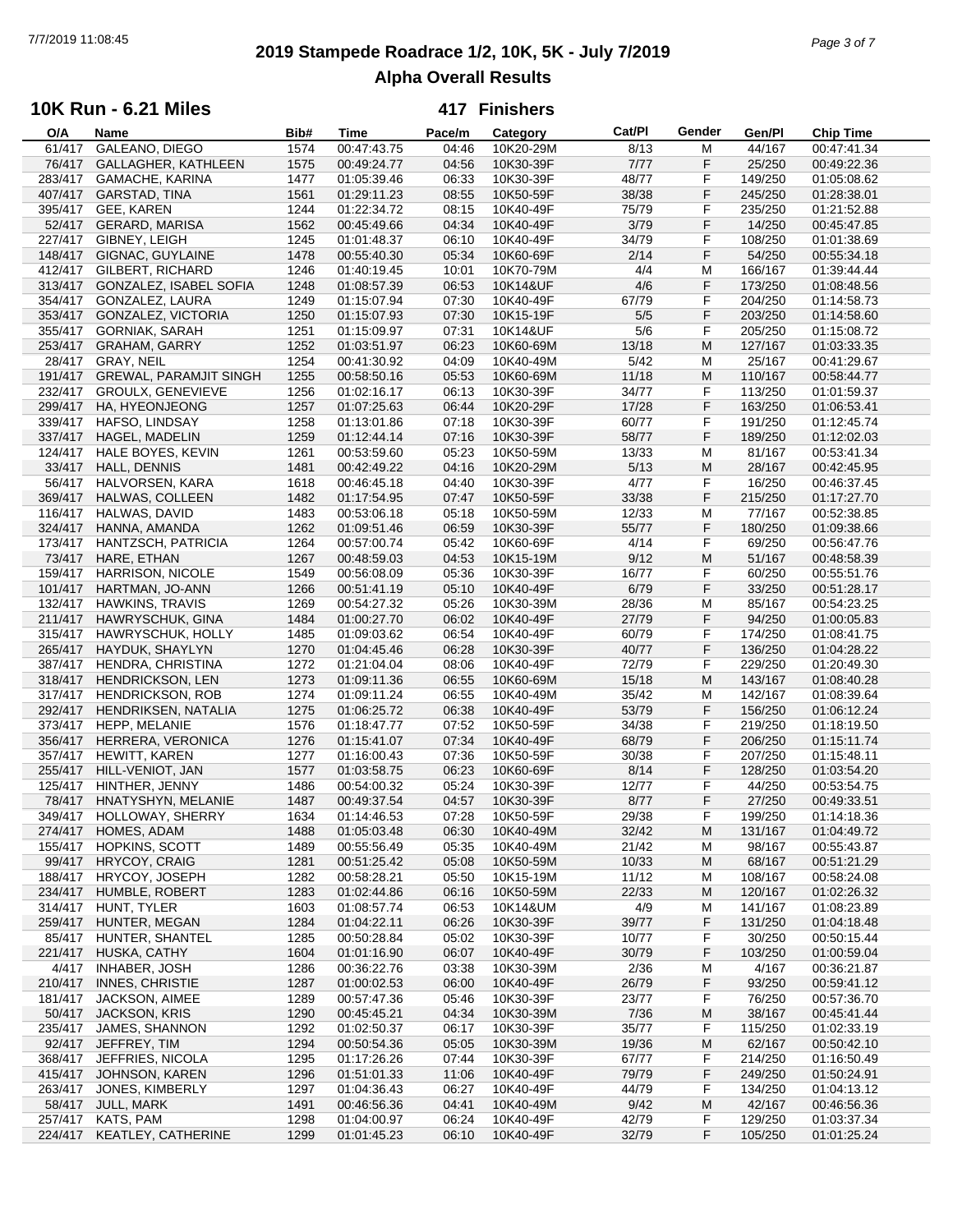# **2019 Stampede Roadrace 1/2, 10K, 5K - July 7/2019** 7/7/2019 11:08:45 *Page 3 of 7* **Alpha Overall Results**

### **10K Run - 6.21 Miles**

| O/A     | Name                          | Bib# | <b>Time</b> | Pace/m | Category  | Cat/PI | Gender | Gen/Pl  | <b>Chip Time</b> |
|---------|-------------------------------|------|-------------|--------|-----------|--------|--------|---------|------------------|
| 61/417  | GALEANO, DIEGO                | 1574 | 00:47:43.75 | 04:46  | 10K20-29M | 8/13   | М      | 44/167  | 00:47:41.34      |
| 76/417  | GALLAGHER, KATHLEEN           | 1575 | 00:49:24.77 | 04:56  | 10K30-39F | 7/77   | F      | 25/250  | 00:49:22.36      |
| 283/417 | <b>GAMACHE, KARINA</b>        | 1477 | 01:05:39.46 | 06:33  | 10K30-39F | 48/77  | F      | 149/250 | 01:05:08.62      |
| 407/417 | <b>GARSTAD, TINA</b>          | 1561 | 01:29:11.23 | 08:55  | 10K50-59F | 38/38  | F      | 245/250 | 01:28:38.01      |
| 395/417 | GEE, KAREN                    | 1244 | 01:22:34.72 | 08:15  | 10K40-49F | 75/79  | F      | 235/250 | 01:21:52.88      |
|         |                               |      |             |        |           |        |        |         |                  |
|         | 52/417 GERARD, MARISA         | 1562 | 00:45:49.66 | 04:34  | 10K40-49F | 3/79   | F      | 14/250  | 00:45:47.85      |
| 227/417 | GIBNEY, LEIGH                 | 1245 | 01:01:48.37 | 06:10  | 10K40-49F | 34/79  | F      | 108/250 | 01:01:38.69      |
| 148/417 | GIGNAC, GUYLAINE              | 1478 | 00:55:40.30 | 05:34  | 10K60-69F | 2/14   | F      | 54/250  | 00:55:34.18      |
| 412/417 | <b>GILBERT, RICHARD</b>       | 1246 | 01:40:19.45 | 10:01  | 10K70-79M | 4/4    | M      | 166/167 | 01:39:44.44      |
| 313/417 | GONZALEZ, ISABEL SOFIA        | 1248 | 01:08:57.39 | 06:53  | 10K14&UF  | 4/6    | F      | 173/250 | 01:08:48.56      |
| 354/417 | GONZALEZ, LAURA               | 1249 | 01:15:07.94 | 07:30  | 10K40-49F | 67/79  | F      | 204/250 | 01:14:58.73      |
| 353/417 | GONZALEZ, VICTORIA            | 1250 | 01:15:07.93 | 07:30  | 10K15-19F | 5/5    | F      | 203/250 | 01:14:58.60      |
| 355/417 | <b>GORNIAK, SARAH</b>         | 1251 | 01:15:09.97 | 07:31  | 10K14&UF  | 5/6    | F      | 205/250 | 01:15:08.72      |
| 253/417 | <b>GRAHAM, GARRY</b>          | 1252 | 01:03:51.97 | 06:23  | 10K60-69M | 13/18  | M      | 127/167 | 01:03:33.35      |
| 28/417  | GRAY, NEIL                    | 1254 | 00:41:30.92 | 04:09  | 10K40-49M | 5/42   | М      | 25/167  | 00:41:29.67      |
| 191/417 |                               |      | 00:58:50.16 | 05:53  |           | 11/18  | M      |         |                  |
|         | <b>GREWAL, PARAMJIT SINGH</b> | 1255 |             |        | 10K60-69M |        |        | 110/167 | 00:58:44.77      |
| 232/417 | <b>GROULX, GENEVIEVE</b>      | 1256 | 01:02:16.17 | 06:13  | 10K30-39F | 34/77  | F      | 113/250 | 01:01:59.37      |
| 299/417 | HA, HYEONJEONG                | 1257 | 01:07:25.63 | 06:44  | 10K20-29F | 17/28  | F      | 163/250 | 01:06:53.41      |
| 339/417 | HAFSO, LINDSAY                | 1258 | 01:13:01.86 | 07:18  | 10K30-39F | 60/77  | F      | 191/250 | 01:12:45.74      |
| 337/417 | <b>HAGEL, MADELIN</b>         | 1259 | 01:12:44.14 | 07:16  | 10K30-39F | 58/77  | F      | 189/250 | 01:12:02.03      |
| 124/417 | HALE BOYES, KEVIN             | 1261 | 00:53:59.60 | 05:23  | 10K50-59M | 13/33  | М      | 81/167  | 00:53:41.34      |
| 33/417  | <b>HALL, DENNIS</b>           | 1481 | 00:42:49.22 | 04:16  | 10K20-29M | 5/13   | M      | 28/167  | 00:42:45.95      |
| 56/417  | HALVORSEN, KARA               | 1618 | 00:46:45.18 | 04:40  | 10K30-39F | 4/77   | F      | 16/250  | 00:46:37.45      |
| 369/417 | HALWAS, COLLEEN               | 1482 | 01:17:54.95 | 07:47  | 10K50-59F | 33/38  | F      | 215/250 | 01:17:27.70      |
|         |                               |      |             |        |           |        |        |         |                  |
| 116/417 | HALWAS, DAVID                 | 1483 | 00:53:06.18 | 05:18  | 10K50-59M | 12/33  | M      | 77/167  | 00:52:38.85      |
| 324/417 | HANNA, AMANDA                 | 1262 | 01:09:51.46 | 06:59  | 10K30-39F | 55/77  | F      | 180/250 | 01:09:38.66      |
| 173/417 | HANTZSCH, PATRICIA            | 1264 | 00:57:00.74 | 05:42  | 10K60-69F | 4/14   | F      | 69/250  | 00:56:47.76      |
| 73/417  | HARE, ETHAN                   | 1267 | 00:48:59.03 | 04:53  | 10K15-19M | 9/12   | M      | 51/167  | 00:48:58.39      |
| 159/417 | HARRISON, NICOLE              | 1549 | 00:56:08.09 | 05:36  | 10K30-39F | 16/77  | F      | 60/250  | 00:55:51.76      |
| 101/417 | HARTMAN, JO-ANN               | 1266 | 00:51:41.19 | 05:10  | 10K40-49F | 6/79   | F      | 33/250  | 00:51:28.17      |
| 132/417 | <b>HAWKINS, TRAVIS</b>        | 1269 | 00:54:27.32 | 05:26  | 10K30-39M | 28/36  | M      | 85/167  | 00:54:23.25      |
| 211/417 | HAWRYSCHUK, GINA              | 1484 | 01:00:27.70 | 06:02  | 10K40-49F | 27/79  | F      | 94/250  | 01:00:05.83      |
| 315/417 | HAWRYSCHUK, HOLLY             | 1485 | 01:09:03.62 | 06:54  | 10K40-49F | 60/79  | F      | 174/250 | 01:08:41.75      |
| 265/417 | HAYDUK, SHAYLYN               | 1270 | 01:04:45.46 | 06:28  | 10K30-39F | 40/77  | F      | 136/250 | 01:04:28.22      |
| 387/417 | HENDRA, CHRISTINA             | 1272 | 01:21:04.04 | 08:06  | 10K40-49F | 72/79  | F      | 229/250 | 01:20:49.30      |
| 318/417 | <b>HENDRICKSON, LEN</b>       | 1273 | 01:09:11.36 | 06:55  |           | 15/18  | M      | 143/167 |                  |
|         |                               |      |             |        | 10K60-69M |        |        |         | 01:08:40.28      |
| 317/417 | <b>HENDRICKSON, ROB</b>       | 1274 | 01:09:11.24 | 06:55  | 10K40-49M | 35/42  | M      | 142/167 | 01:08:39.64      |
| 292/417 | HENDRIKSEN, NATALIA           | 1275 | 01:06:25.72 | 06:38  | 10K40-49F | 53/79  | F      | 156/250 | 01:06:12.24      |
| 373/417 | HEPP, MELANIE                 | 1576 | 01:18:47.77 | 07:52  | 10K50-59F | 34/38  | F      | 219/250 | 01:18:19.50      |
| 356/417 | HERRERA, VERONICA             | 1276 | 01:15:41.07 | 07:34  | 10K40-49F | 68/79  | F      | 206/250 | 01:15:11.74      |
| 357/417 | HEWITT, KAREN                 | 1277 | 01:16:00.43 | 07:36  | 10K50-59F | 30/38  | F      | 207/250 | 01:15:48.11      |
| 255/417 | HILL-VENIOT, JAN              | 1577 | 01:03:58.75 | 06:23  | 10K60-69F | 8/14   | F      | 128/250 | 01:03:54.20      |
| 125/417 | HINTHER, JENNY                | 1486 | 00:54:00.32 | 05:24  | 10K30-39F | 12/77  | F      | 44/250  | 00:53:54.75      |
| 78/417  | HNATYSHYN, MELANIE            | 1487 | 00:49:37.54 | 04:57  | 10K30-39F | 8/77   | F      | 27/250  | 00:49:33.51      |
|         | 349/417 HOLLOWAY, SHERRY      | 1634 | 01:14:46.53 | 07:28  | 10K50-59F | 29/38  | F      | 199/250 | 01:14:18.36      |
|         | 274/417 HOMES, ADAM           | 1488 | 01:05:03.48 | 06:30  | 10K40-49M | 32/42  | M      | 131/167 | 01:04:49.72      |
| 155/417 | HOPKINS, SCOTT                | 1489 | 00:55:56.49 | 05:35  | 10K40-49M | 21/42  | M      | 98/167  | 00:55:43.87      |
| 99/417  |                               |      |             |        |           |        |        |         |                  |
|         | <b>HRYCOY, CRAIG</b>          | 1281 | 00:51:25.42 | 05:08  | 10K50-59M | 10/33  | M      | 68/167  | 00:51:21.29      |
| 188/417 | HRYCOY, JOSEPH                | 1282 | 00:58:28.21 | 05:50  | 10K15-19M | 11/12  | М      | 108/167 | 00:58:24.08      |
| 234/417 | HUMBLE, ROBERT                | 1283 | 01:02:44.86 | 06:16  | 10K50-59M | 22/33  | M      | 120/167 | 01:02:26.32      |
| 314/417 | HUNT, TYLER                   | 1603 | 01:08:57.74 | 06:53  | 10K14&UM  | 4/9    | M      | 141/167 | 01:08:23.89      |
| 259/417 | HUNTER, MEGAN                 | 1284 | 01:04:22.11 | 06:26  | 10K30-39F | 39/77  | F      | 131/250 | 01:04:18.48      |
| 85/417  | HUNTER, SHANTEL               | 1285 | 00:50:28.84 | 05:02  | 10K30-39F | 10/77  | F      | 30/250  | 00:50:15.44      |
| 221/417 | HUSKA, CATHY                  | 1604 | 01:01:16.90 | 06:07  | 10K40-49F | 30/79  | F      | 103/250 | 01:00:59.04      |
| 4/417   | <b>INHABER, JOSH</b>          | 1286 | 00:36:22.76 | 03:38  | 10K30-39M | 2/36   | M      | 4/167   | 00:36:21.87      |
| 210/417 | <b>INNES, CHRISTIE</b>        | 1287 | 01:00:02.53 | 06:00  | 10K40-49F | 26/79  | F      | 93/250  | 00:59:41.12      |
| 181/417 | <b>JACKSON, AIMEE</b>         | 1289 | 00:57:47.36 | 05:46  | 10K30-39F | 23/77  | F      | 76/250  | 00:57:36.70      |
| 50/417  | <b>JACKSON, KRIS</b>          | 1290 | 00:45:45.21 | 04:34  | 10K30-39M | 7/36   | M      | 38/167  | 00:45:41.44      |
|         |                               |      |             |        |           |        |        |         |                  |
| 235/417 | JAMES, SHANNON                | 1292 | 01:02:50.37 | 06:17  | 10K30-39F | 35/77  | F      | 115/250 | 01:02:33.19      |
| 92/417  | JEFFREY, TIM                  | 1294 | 00:50:54.36 | 05:05  | 10K30-39M | 19/36  | M      | 62/167  | 00:50:42.10      |
| 368/417 | JEFFRIES, NICOLA              | 1295 | 01:17:26.26 | 07:44  | 10K30-39F | 67/77  | F      | 214/250 | 01:16:50.49      |
| 415/417 | JOHNSON, KAREN                | 1296 | 01:51:01.33 | 11:06  | 10K40-49F | 79/79  | F      | 249/250 | 01:50:24.91      |
| 263/417 | JONES, KIMBERLY               | 1297 | 01:04:36.43 | 06:27  | 10K40-49F | 44/79  | F      | 134/250 | 01:04:13.12      |
| 58/417  | JULL, MARK                    | 1491 | 00:46:56.36 | 04:41  | 10K40-49M | 9/42   | M      | 42/167  | 00:46:56.36      |
| 257/417 | KATS, PAM                     | 1298 | 01:04:00.97 | 06:24  | 10K40-49F | 42/79  | F      | 129/250 | 01:03:37.34      |
|         | 224/417 KEATLEY, CATHERINE    | 1299 | 01:01:45.23 | 06:10  | 10K40-49F | 32/79  | F      | 105/250 | 01:01:25.24      |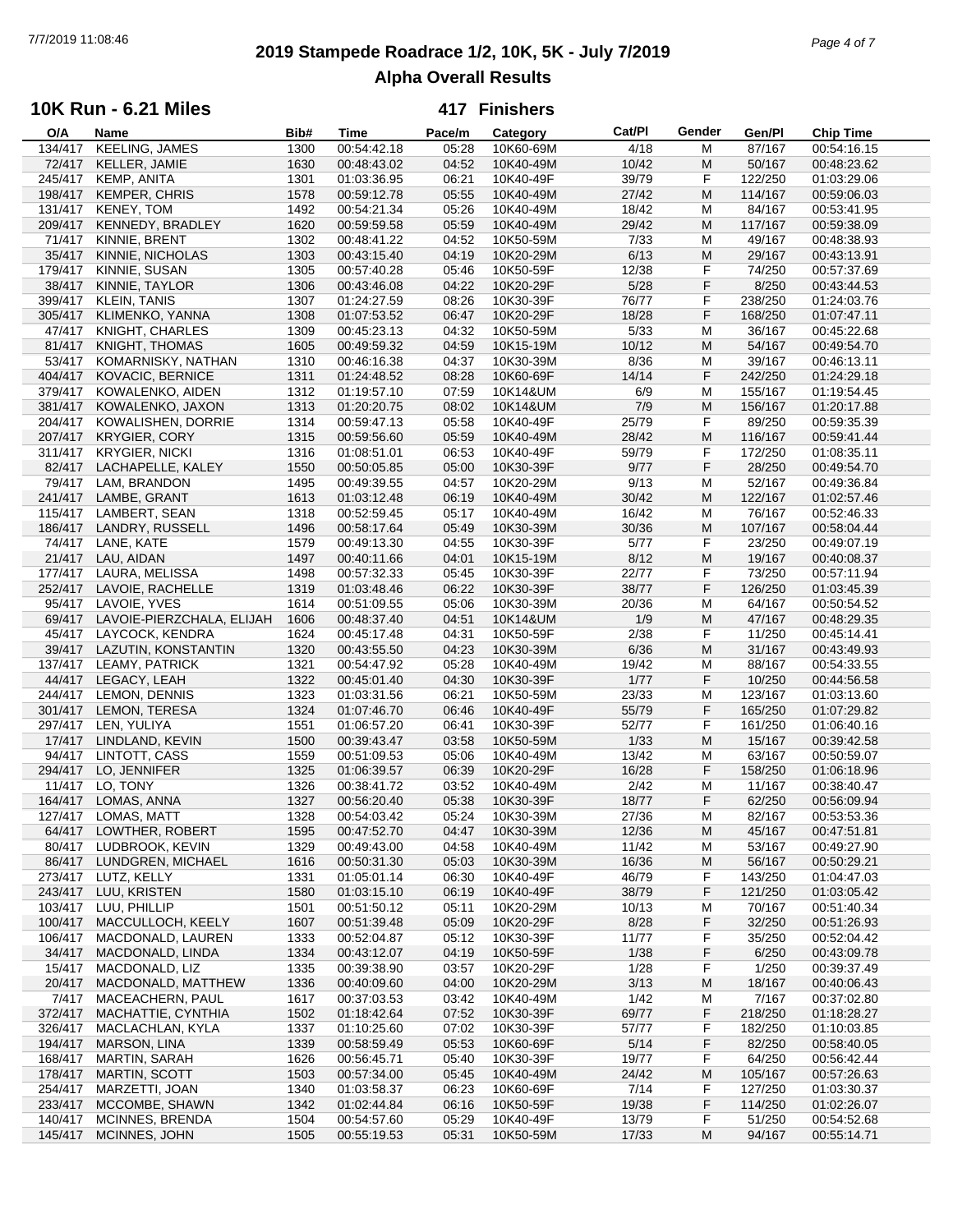## **2019 Stampede Roadrace 1/2, 10K, 5K - July 7/2019** 7/7/2019 11:08:46 *Page 4 of 7* **Alpha Overall Results**

### **10K Run - 6.21 Miles**

| O/A               | Name                      | Bib# | Time        | Pace/m | Category  | Cat/PI | Gender | Gen/Pl  | <b>Chip Time</b> |
|-------------------|---------------------------|------|-------------|--------|-----------|--------|--------|---------|------------------|
| 134/417           | KEELING, JAMES            | 1300 | 00:54:42.18 | 05:28  | 10K60-69M | 4/18   | M      | 87/167  | 00:54:16.15      |
| 72/417            | KELLER, JAMIE             | 1630 | 00:48:43.02 | 04:52  | 10K40-49M | 10/42  | M      | 50/167  | 00:48:23.62      |
| 245/417           | KEMP, ANITA               | 1301 | 01:03:36.95 | 06:21  | 10K40-49F | 39/79  | F      | 122/250 | 01:03:29.06      |
| 198/417           | <b>KEMPER, CHRIS</b>      | 1578 | 00:59:12.78 | 05:55  | 10K40-49M | 27/42  | M      | 114/167 | 00:59:06.03      |
| 131/417           | KENEY, TOM                | 1492 | 00:54:21.34 | 05:26  | 10K40-49M | 18/42  | M      | 84/167  | 00:53:41.95      |
|                   |                           |      |             |        |           |        |        |         |                  |
| 209/417           | KENNEDY, BRADLEY          | 1620 | 00:59:59.58 | 05:59  | 10K40-49M | 29/42  | M      | 117/167 | 00:59:38.09      |
| 71/417            | KINNIE, BRENT             | 1302 | 00:48:41.22 | 04:52  | 10K50-59M | 7/33   | M      | 49/167  | 00:48:38.93      |
| 35/417            | KINNIE, NICHOLAS          | 1303 | 00:43:15.40 | 04:19  | 10K20-29M | 6/13   | M      | 29/167  | 00:43:13.91      |
| 179/417           | KINNIE, SUSAN             | 1305 | 00:57:40.28 | 05:46  | 10K50-59F | 12/38  | F      | 74/250  | 00:57:37.69      |
| 38/417            | KINNIE, TAYLOR            | 1306 | 00:43:46.08 | 04:22  | 10K20-29F | 5/28   | F      | 8/250   | 00:43:44.53      |
| 399/417           | <b>KLEIN, TANIS</b>       | 1307 | 01:24:27.59 | 08:26  | 10K30-39F | 76/77  | F      | 238/250 | 01:24:03.76      |
| 305/417           | KLIMENKO, YANNA           | 1308 | 01:07:53.52 | 06:47  | 10K20-29F | 18/28  | F      | 168/250 | 01:07:47.11      |
| 47/417            | KNIGHT, CHARLES           | 1309 | 00:45:23.13 | 04:32  | 10K50-59M | 5/33   | M      | 36/167  | 00:45:22.68      |
| 81/417            | KNIGHT, THOMAS            | 1605 | 00:49:59.32 | 04:59  | 10K15-19M | 10/12  | M      | 54/167  | 00:49:54.70      |
| 53/417            | KOMARNISKY, NATHAN        | 1310 | 00:46:16.38 | 04:37  | 10K30-39M | 8/36   | M      | 39/167  | 00:46:13.11      |
|                   |                           |      |             |        |           |        |        |         |                  |
| 404/417           | KOVACIC, BERNICE          | 1311 | 01:24:48.52 | 08:28  | 10K60-69F | 14/14  | F      | 242/250 | 01:24:29.18      |
| 379/417           | KOWALENKO, AIDEN          | 1312 | 01:19:57.10 | 07:59  | 10K14&UM  | 6/9    | M      | 155/167 | 01:19:54.45      |
| 381/417           | KOWALENKO, JAXON          | 1313 | 01:20:20.75 | 08:02  | 10K14&UM  | 7/9    | M      | 156/167 | 01:20:17.88      |
| 204/417           | KOWALISHEN, DORRIE        | 1314 | 00:59:47.13 | 05:58  | 10K40-49F | 25/79  | F      | 89/250  | 00:59:35.39      |
| 207/417           | <b>KRYGIER, CORY</b>      | 1315 | 00:59:56.60 | 05:59  | 10K40-49M | 28/42  | M      | 116/167 | 00:59:41.44      |
| 311/417           | <b>KRYGIER, NICKI</b>     | 1316 | 01:08:51.01 | 06:53  | 10K40-49F | 59/79  | F      | 172/250 | 01:08:35.11      |
| 82/417            | LACHAPELLE, KALEY         | 1550 | 00:50:05.85 | 05:00  | 10K30-39F | 9/77   | F      | 28/250  | 00:49:54.70      |
| 79/417            | LAM, BRANDON              | 1495 | 00:49:39.55 | 04:57  | 10K20-29M | 9/13   | M      | 52/167  | 00:49:36.84      |
| 241/417           | LAMBE, GRANT              | 1613 | 01:03:12.48 | 06:19  | 10K40-49M | 30/42  | M      | 122/167 | 01:02:57.46      |
|                   | 115/417 LAMBERT, SEAN     | 1318 | 00:52:59.45 | 05:17  | 10K40-49M | 16/42  | M      | 76/167  | 00:52:46.33      |
|                   |                           |      |             |        |           |        |        |         |                  |
| 186/417           | LANDRY, RUSSELL           | 1496 | 00:58:17.64 | 05:49  | 10K30-39M | 30/36  | M      | 107/167 | 00:58:04.44      |
| 74/417            | LANE, KATE                | 1579 | 00:49:13.30 | 04:55  | 10K30-39F | 5/77   | F      | 23/250  | 00:49:07.19      |
| 21/417            | LAU, AIDAN                | 1497 | 00:40:11.66 | 04:01  | 10K15-19M | 8/12   | M      | 19/167  | 00:40:08.37      |
| 177/417           | LAURA, MELISSA            | 1498 | 00:57:32.33 | 05:45  | 10K30-39F | 22/77  | F      | 73/250  | 00:57:11.94      |
|                   | 252/417 LAVOIE, RACHELLE  | 1319 | 01:03:48.46 | 06:22  | 10K30-39F | 38/77  | F      | 126/250 | 01:03:45.39      |
| 95/417            | LAVOIE, YVES              | 1614 | 00:51:09.55 | 05:06  | 10K30-39M | 20/36  | M      | 64/167  | 00:50:54.52      |
| 69/417            | LAVOIE-PIERZCHALA, ELIJAH | 1606 | 00:48:37.40 | 04:51  | 10K14&UM  | 1/9    | M      | 47/167  | 00:48:29.35      |
| 45/417            | LAYCOCK, KENDRA           | 1624 | 00:45:17.48 | 04:31  | 10K50-59F | 2/38   | F      | 11/250  | 00:45:14.41      |
| 39/417            | LAZUTIN, KONSTANTIN       | 1320 | 00:43:55.50 | 04:23  | 10K30-39M | 6/36   | M      | 31/167  | 00:43:49.93      |
| 137/417           | LEAMY, PATRICK            | 1321 | 00:54:47.92 | 05:28  | 10K40-49M | 19/42  | M      | 88/167  | 00:54:33.55      |
| 44/417            | LEGACY, LEAH              | 1322 | 00:45:01.40 | 04:30  | 10K30-39F | 1/77   | F      | 10/250  | 00:44:56.58      |
|                   | 244/417 LEMON, DENNIS     | 1323 | 01:03:31.56 | 06:21  | 10K50-59M | 23/33  | M      | 123/167 | 01:03:13.60      |
|                   | 301/417 LEMON, TERESA     | 1324 | 01:07:46.70 | 06:46  | 10K40-49F | 55/79  | F      | 165/250 | 01:07:29.82      |
|                   |                           |      | 01:06:57.20 |        |           |        | F      |         |                  |
| 297/417<br>17/417 | LEN, YULIYA               | 1551 |             | 06:41  | 10K30-39F | 52/77  |        | 161/250 | 01:06:40.16      |
|                   | LINDLAND, KEVIN           | 1500 | 00:39:43.47 | 03:58  | 10K50-59M | 1/33   | M      | 15/167  | 00:39:42.58      |
| 94/417            | LINTOTT, CASS             | 1559 | 00:51:09.53 | 05:06  | 10K40-49M | 13/42  | M      | 63/167  | 00:50:59.07      |
| 294/417           | LO, JENNIFER              | 1325 | 01:06:39.57 | 06:39  | 10K20-29F | 16/28  | F      | 158/250 | 01:06:18.96      |
| 11/417            | LO, TONY                  | 1326 | 00:38:41.72 | 03:52  | 10K40-49M | 2/42   | M      | 11/167  | 00:38:40.47      |
| 164/417           | LOMAS, ANNA               | 1327 | 00:56:20.40 | 05:38  | 10K30-39F | 18/77  | F      | 62/250  | 00:56:09.94      |
|                   | 127/417 LOMAS, MATT       | 1328 | 00:54:03.42 | 05:24  | 10K30-39M | 27/36  | M      | 82/167  | 00:53:53.36      |
|                   | 64/417 LOWTHER, ROBERT    | 1595 | 00:47:52.70 | 04:47  | 10K30-39M | 12/36  | M      | 45/167  | 00:47:51.81      |
| 80/417            | LUDBROOK, KEVIN           | 1329 | 00:49:43.00 | 04:58  | 10K40-49M | 11/42  | M      | 53/167  | 00:49:27.90      |
| 86/417            | LUNDGREN, MICHAEL         | 1616 | 00:50:31.30 | 05:03  | 10K30-39M | 16/36  | M      | 56/167  | 00:50:29.21      |
| 273/417           | LUTZ, KELLY               | 1331 | 01:05:01.14 | 06:30  | 10K40-49F | 46/79  | F      | 143/250 | 01:04:47.03      |
| 243/417           | LUU, KRISTEN              | 1580 | 01:03:15.10 | 06:19  | 10K40-49F | 38/79  | F      | 121/250 | 01:03:05.42      |
| 103/417           | LUU, PHILLIP              | 1501 | 00:51:50.12 | 05:11  | 10K20-29M | 10/13  |        | 70/167  | 00:51:40.34      |
|                   |                           |      |             |        |           |        | M      |         |                  |
| 100/417           | MACCULLOCH, KEELY         | 1607 | 00:51:39.48 | 05:09  | 10K20-29F | 8/28   | F      | 32/250  | 00:51:26.93      |
| 106/417           | MACDONALD, LAUREN         | 1333 | 00:52:04.87 | 05:12  | 10K30-39F | 11/77  | F      | 35/250  | 00:52:04.42      |
| 34/417            | MACDONALD, LINDA          | 1334 | 00:43:12.07 | 04:19  | 10K50-59F | 1/38   | F      | 6/250   | 00:43:09.78      |
| 15/417            | MACDONALD, LIZ            | 1335 | 00:39:38.90 | 03:57  | 10K20-29F | 1/28   | F      | 1/250   | 00:39:37.49      |
| 20/417            | MACDONALD, MATTHEW        | 1336 | 00:40:09.60 | 04:00  | 10K20-29M | 3/13   | M      | 18/167  | 00:40:06.43      |
| 7/417             | MACEACHERN, PAUL          | 1617 | 00:37:03.53 | 03:42  | 10K40-49M | 1/42   | M      | 7/167   | 00:37:02.80      |
| 372/417           | MACHATTIE, CYNTHIA        | 1502 | 01:18:42.64 | 07:52  | 10K30-39F | 69/77  | F      | 218/250 | 01:18:28.27      |
| 326/417           | MACLACHLAN, KYLA          | 1337 | 01:10:25.60 | 07:02  | 10K30-39F | 57/77  | F      | 182/250 | 01:10:03.85      |
| 194/417           | MARSON, LINA              | 1339 | 00:58:59.49 | 05:53  | 10K60-69F | 5/14   | F      | 82/250  | 00:58:40.05      |
| 168/417           | MARTIN, SARAH             | 1626 | 00:56:45.71 | 05:40  | 10K30-39F | 19/77  | F      | 64/250  | 00:56:42.44      |
| 178/417           | <b>MARTIN, SCOTT</b>      | 1503 | 00:57:34.00 | 05:45  | 10K40-49M | 24/42  | M      | 105/167 | 00:57:26.63      |
| 254/417           | MARZETTI, JOAN            | 1340 | 01:03:58.37 | 06:23  | 10K60-69F | 7/14   | F      | 127/250 | 01:03:30.37      |
|                   |                           |      |             |        |           |        |        |         |                  |
| 233/417           | MCCOMBE, SHAWN            | 1342 | 01:02:44.84 | 06:16  | 10K50-59F | 19/38  | F      | 114/250 | 01:02:26.07      |
| 140/417           | MCINNES, BRENDA           | 1504 | 00:54:57.60 | 05:29  | 10K40-49F | 13/79  | F      | 51/250  | 00:54:52.68      |
| 145/417           | MCINNES, JOHN             | 1505 | 00:55:19.53 | 05:31  | 10K50-59M | 17/33  | M      | 94/167  | 00:55:14.71      |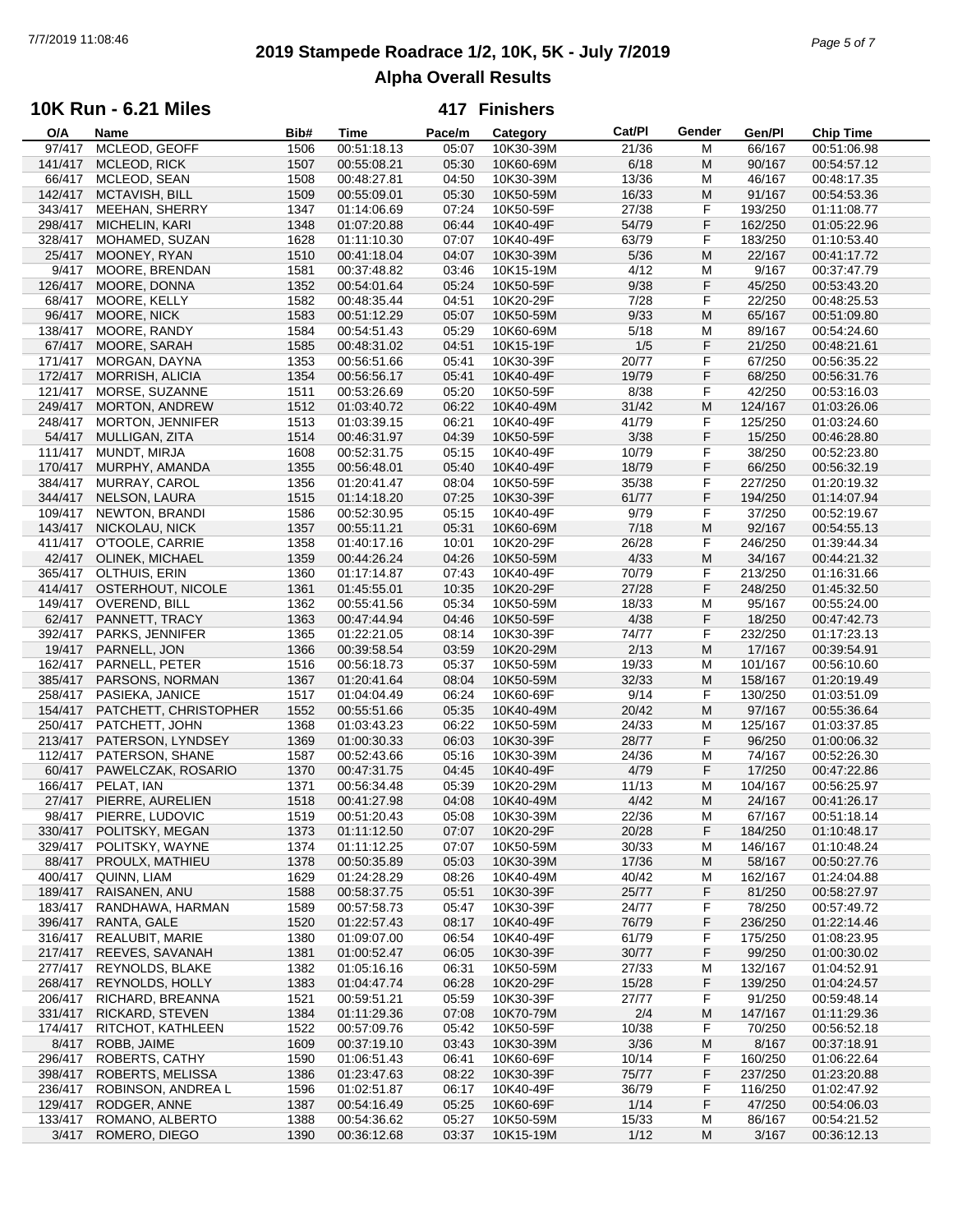## **2019 Stampede Roadrace 1/2, 10K, 5K - July 7/2019** 7/7/2019 11:08:46 *Page 5 of 7* **Alpha Overall Results**

## **10K Run - 6.21 Miles**

| O/A     | Name                    | Bib# | Time        | Pace/m | Category  | Cat/PI | Gender | Gen/Pl  | Chip Time   |  |
|---------|-------------------------|------|-------------|--------|-----------|--------|--------|---------|-------------|--|
| 97/417  | MCLEOD, GEOFF           | 1506 | 00:51:18.13 | 05:07  | 10K30-39M | 21/36  | M      | 66/167  | 00:51:06.98 |  |
| 141/417 | MCLEOD, RICK            | 1507 | 00:55:08.21 | 05:30  | 10K60-69M | 6/18   | M      | 90/167  | 00:54:57.12 |  |
| 66/417  | MCLEOD, SEAN            | 1508 | 00:48:27.81 | 04:50  | 10K30-39M | 13/36  | M      | 46/167  | 00:48:17.35 |  |
| 142/417 | MCTAVISH, BILL          | 1509 | 00:55:09.01 | 05:30  | 10K50-59M | 16/33  | M      | 91/167  | 00:54:53.36 |  |
|         |                         |      |             | 07:24  | 10K50-59F | 27/38  | F      |         |             |  |
| 343/417 | MEEHAN, SHERRY          | 1347 | 01:14:06.69 |        |           |        |        | 193/250 | 01:11:08.77 |  |
| 298/417 | MICHELIN, KARI          | 1348 | 01:07:20.88 | 06:44  | 10K40-49F | 54/79  | F      | 162/250 | 01:05:22.96 |  |
| 328/417 | MOHAMED, SUZAN          | 1628 | 01:11:10.30 | 07:07  | 10K40-49F | 63/79  | F      | 183/250 | 01:10:53.40 |  |
| 25/417  | MOONEY, RYAN            | 1510 | 00:41:18.04 | 04:07  | 10K30-39M | $5/36$ | M      | 22/167  | 00:41:17.72 |  |
| 9/417   | MOORE, BRENDAN          | 1581 | 00:37:48.82 | 03:46  | 10K15-19M | 4/12   | M      | 9/167   | 00:37:47.79 |  |
| 126/417 | MOORE, DONNA            | 1352 | 00:54:01.64 | 05:24  | 10K50-59F | 9/38   | F      | 45/250  | 00:53:43.20 |  |
| 68/417  | MOORE, KELLY            | 1582 | 00:48:35.44 | 04:51  | 10K20-29F | 7/28   | F      | 22/250  | 00:48:25.53 |  |
| 96/417  | MOORE, NICK             | 1583 | 00:51:12.29 | 05:07  | 10K50-59M | 9/33   | M      | 65/167  | 00:51:09.80 |  |
|         |                         |      |             |        |           |        |        |         |             |  |
| 138/417 | MOORE, RANDY            | 1584 | 00:54:51.43 | 05:29  | 10K60-69M | 5/18   | M      | 89/167  | 00:54:24.60 |  |
| 67/417  | MOORE, SARAH            | 1585 | 00:48:31.02 | 04:51  | 10K15-19F | 1/5    | F      | 21/250  | 00:48:21.61 |  |
| 171/417 | MORGAN, DAYNA           | 1353 | 00:56:51.66 | 05:41  | 10K30-39F | 20/77  | F      | 67/250  | 00:56:35.22 |  |
| 172/417 | <b>MORRISH, ALICIA</b>  | 1354 | 00:56:56.17 | 05:41  | 10K40-49F | 19/79  | F      | 68/250  | 00:56:31.76 |  |
| 121/417 | MORSE, SUZANNE          | 1511 | 00:53:26.69 | 05:20  | 10K50-59F | 8/38   | F      | 42/250  | 00:53:16.03 |  |
| 249/417 | <b>MORTON, ANDREW</b>   | 1512 | 01:03:40.72 | 06:22  | 10K40-49M | 31/42  | M      | 124/167 | 01:03:26.06 |  |
| 248/417 | <b>MORTON, JENNIFER</b> | 1513 | 01:03:39.15 | 06:21  | 10K40-49F | 41/79  | F      | 125/250 | 01:03:24.60 |  |
|         |                         |      |             |        |           |        |        |         |             |  |
| 54/417  | MULLIGAN, ZITA          | 1514 | 00:46:31.97 | 04:39  | 10K50-59F | 3/38   | F      | 15/250  | 00:46:28.80 |  |
| 111/417 | MUNDT, MIRJA            | 1608 | 00:52:31.75 | 05:15  | 10K40-49F | 10/79  | F      | 38/250  | 00:52:23.80 |  |
| 170/417 | MURPHY, AMANDA          | 1355 | 00:56:48.01 | 05:40  | 10K40-49F | 18/79  | F      | 66/250  | 00:56:32.19 |  |
| 384/417 | MURRAY, CAROL           | 1356 | 01:20:41.47 | 08:04  | 10K50-59F | 35/38  | F      | 227/250 | 01:20:19.32 |  |
| 344/417 | NELSON, LAURA           | 1515 | 01:14:18.20 | 07:25  | 10K30-39F | 61/77  | F      | 194/250 | 01:14:07.94 |  |
| 109/417 | NEWTON, BRANDI          | 1586 | 00:52:30.95 | 05:15  | 10K40-49F | 9/79   | F      | 37/250  | 00:52:19.67 |  |
| 143/417 | NICKOLAU, NICK          | 1357 | 00:55:11.21 | 05:31  | 10K60-69M | 7/18   | M      | 92/167  | 00:54:55.13 |  |
|         |                         | 1358 |             |        |           | 26/28  | F      | 246/250 |             |  |
| 411/417 | O'TOOLE, CARRIE         |      | 01:40:17.16 | 10:01  | 10K20-29F |        |        |         | 01:39:44.34 |  |
| 42/417  | OLINEK, MICHAEL         | 1359 | 00:44:26.24 | 04:26  | 10K50-59M | 4/33   | M      | 34/167  | 00:44:21.32 |  |
|         | 365/417 OLTHUIS, ERIN   | 1360 | 01:17:14.87 | 07:43  | 10K40-49F | 70/79  | F      | 213/250 | 01:16:31.66 |  |
| 414/417 | OSTERHOUT, NICOLE       | 1361 | 01:45:55.01 | 10:35  | 10K20-29F | 27/28  | F      | 248/250 | 01:45:32.50 |  |
| 149/417 | OVEREND, BILL           | 1362 | 00:55:41.56 | 05:34  | 10K50-59M | 18/33  | M      | 95/167  | 00:55:24.00 |  |
| 62/417  | PANNETT, TRACY          | 1363 | 00:47:44.94 | 04:46  | 10K50-59F | 4/38   | F      | 18/250  | 00:47:42.73 |  |
| 392/417 | PARKS, JENNIFER         | 1365 | 01:22:21.05 | 08:14  | 10K30-39F | 74/77  | F      | 232/250 | 01:17:23.13 |  |
| 19/417  | PARNELL, JON            | 1366 | 00:39:58.54 | 03:59  | 10K20-29M | 2/13   | M      | 17/167  | 00:39:54.91 |  |
|         |                         |      |             |        |           |        |        |         |             |  |
| 162/417 | PARNELL, PETER          | 1516 | 00:56:18.73 | 05:37  | 10K50-59M | 19/33  | M      | 101/167 | 00:56:10.60 |  |
| 385/417 | PARSONS, NORMAN         | 1367 | 01:20:41.64 | 08:04  | 10K50-59M | 32/33  | M      | 158/167 | 01:20:19.49 |  |
| 258/417 | PASIEKA, JANICE         | 1517 | 01:04:04.49 | 06:24  | 10K60-69F | 9/14   | F      | 130/250 | 01:03:51.09 |  |
| 154/417 | PATCHETT, CHRISTOPHER   | 1552 | 00:55:51.66 | 05:35  | 10K40-49M | 20/42  | M      | 97/167  | 00:55:36.64 |  |
| 250/417 | PATCHETT, JOHN          | 1368 | 01:03:43.23 | 06:22  | 10K50-59M | 24/33  | M      | 125/167 | 01:03:37.85 |  |
| 213/417 | PATERSON, LYNDSEY       | 1369 | 01:00:30.33 | 06:03  | 10K30-39F | 28/77  | F      | 96/250  | 01:00:06.32 |  |
| 112/417 | PATERSON, SHANE         | 1587 | 00:52:43.66 | 05:16  | 10K30-39M | 24/36  | M      | 74/167  | 00:52:26.30 |  |
| 60/417  | PAWELCZAK, ROSARIO      | 1370 | 00:47:31.75 | 04:45  | 10K40-49F | 4/79   | F      | 17/250  | 00:47:22.86 |  |
|         |                         |      |             |        |           |        |        |         |             |  |
| 166/417 | PELAT, IAN              | 1371 | 00:56:34.48 | 05:39  | 10K20-29M | 11/13  | M      | 104/167 | 00:56:25.97 |  |
| 27/417  | PIERRE, AURELIEN        | 1518 | 00:41:27.98 | 04:08  | 10K40-49M | 4/42   | M      | 24/167  | 00:41:26.17 |  |
| 98/417  | PIERRE, LUDOVIC         | 1519 | 00:51:20.43 | 05:08  | 10K30-39M | 22/36  | M      | 67/167  | 00:51:18.14 |  |
| 330/417 | POLITSKY, MEGAN         | 1373 | 01:11:12.50 | 07:07  | 10K20-29F | 20/28  | F      | 184/250 | 01:10:48.17 |  |
| 329/417 | POLITSKY, WAYNE         | 1374 | 01:11:12.25 | 07:07  | 10K50-59M | 30/33  | M      | 146/167 | 01:10:48.24 |  |
| 88/417  | PROULX, MATHIEU         | 1378 | 00:50:35.89 | 05:03  | 10K30-39M | 17/36  | M      | 58/167  | 00:50:27.76 |  |
| 400/417 | QUINN, LIAM             | 1629 | 01:24:28.29 | 08:26  | 10K40-49M | 40/42  | M      | 162/167 | 01:24:04.88 |  |
| 189/417 | RAISANEN, ANU           | 1588 | 00:58:37.75 | 05:51  | 10K30-39F | 25/77  | F      | 81/250  | 00:58:27.97 |  |
|         |                         |      |             |        |           |        |        |         |             |  |
| 183/417 | RANDHAWA, HARMAN        | 1589 | 00:57:58.73 | 05:47  | 10K30-39F | 24/77  | F      | 78/250  | 00:57:49.72 |  |
| 396/417 | RANTA, GALE             | 1520 | 01:22:57.43 | 08:17  | 10K40-49F | 76/79  | F      | 236/250 | 01:22:14.46 |  |
| 316/417 | REALUBIT, MARIE         | 1380 | 01:09:07.00 | 06:54  | 10K40-49F | 61/79  | F      | 175/250 | 01:08:23.95 |  |
| 217/417 | REEVES, SAVANAH         | 1381 | 01:00:52.47 | 06:05  | 10K30-39F | 30/77  | F      | 99/250  | 01:00:30.02 |  |
| 277/417 | REYNOLDS, BLAKE         | 1382 | 01:05:16.16 | 06:31  | 10K50-59M | 27/33  | M      | 132/167 | 01:04:52.91 |  |
| 268/417 | REYNOLDS, HOLLY         | 1383 | 01:04:47.74 | 06:28  | 10K20-29F | 15/28  | F      | 139/250 | 01:04:24.57 |  |
| 206/417 | RICHARD, BREANNA        | 1521 | 00:59:51.21 | 05:59  | 10K30-39F | 27/77  | F      | 91/250  | 00:59:48.14 |  |
| 331/417 | RICKARD, STEVEN         | 1384 | 01:11:29.36 | 07:08  | 10K70-79M | 2/4    | M      | 147/167 | 01:11:29.36 |  |
|         |                         |      |             |        |           |        |        |         |             |  |
| 174/417 | RITCHOT, KATHLEEN       | 1522 | 00:57:09.76 | 05:42  | 10K50-59F | 10/38  | F      | 70/250  | 00:56:52.18 |  |
| 8/417   | ROBB, JAIME             | 1609 | 00:37:19.10 | 03:43  | 10K30-39M | 3/36   | M      | 8/167   | 00:37:18.91 |  |
| 296/417 | ROBERTS, CATHY          | 1590 | 01:06:51.43 | 06:41  | 10K60-69F | 10/14  | F      | 160/250 | 01:06:22.64 |  |
| 398/417 | ROBERTS, MELISSA        | 1386 | 01:23:47.63 | 08:22  | 10K30-39F | 75/77  | F      | 237/250 | 01:23:20.88 |  |
| 236/417 | ROBINSON, ANDREA L      | 1596 | 01:02:51.87 | 06:17  | 10K40-49F | 36/79  | F      | 116/250 | 01:02:47.92 |  |
| 129/417 | RODGER, ANNE            | 1387 | 00:54:16.49 | 05:25  | 10K60-69F | 1/14   | F      | 47/250  | 00:54:06.03 |  |
| 133/417 | ROMANO, ALBERTO         | 1388 | 00:54:36.62 | 05:27  | 10K50-59M | 15/33  | M      | 86/167  | 00:54:21.52 |  |
| 3/417   | ROMERO, DIEGO           | 1390 | 00:36:12.68 | 03:37  | 10K15-19M | 1/12   | M      | 3/167   | 00:36:12.13 |  |
|         |                         |      |             |        |           |        |        |         |             |  |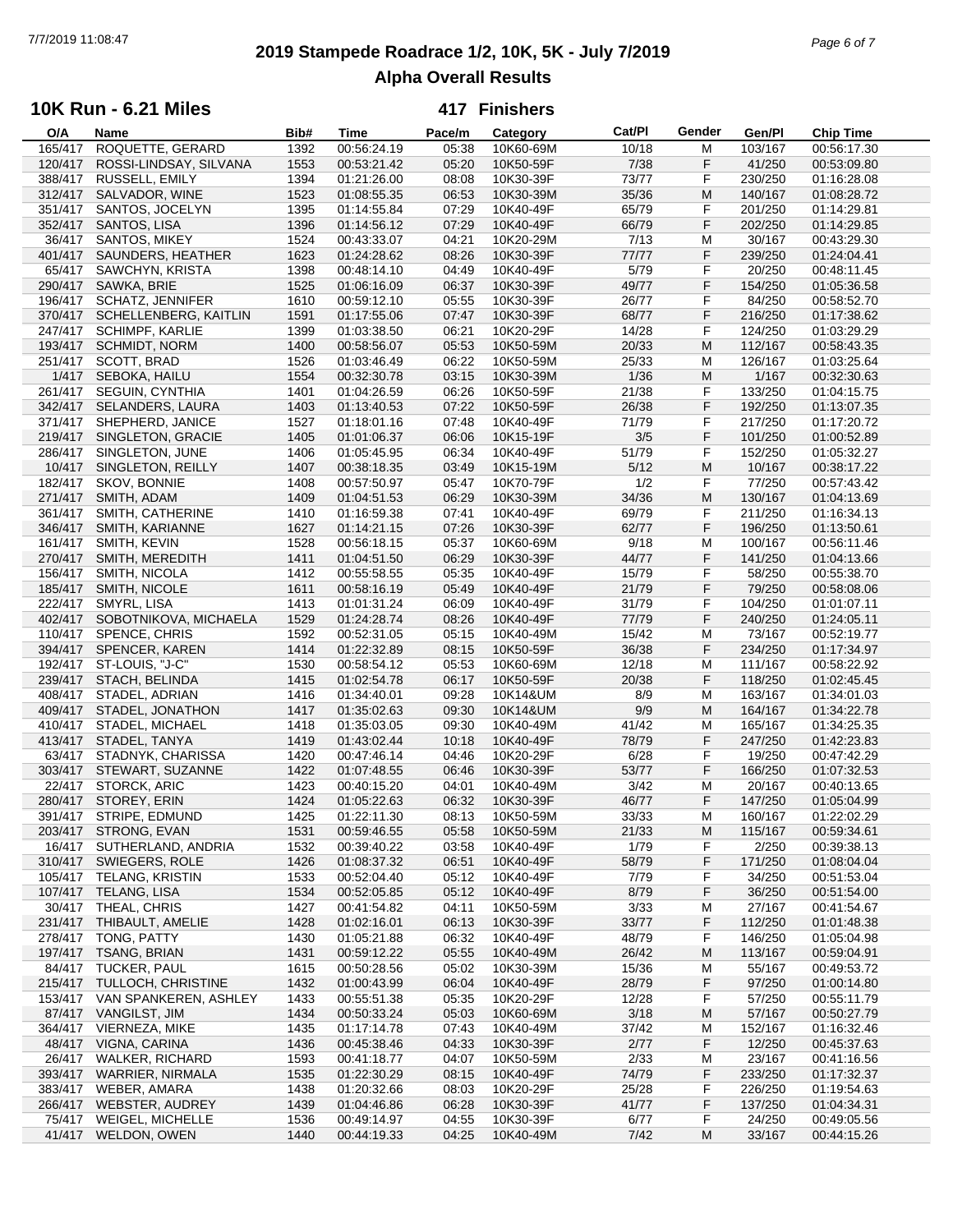## **2019 Stampede Roadrace 1/2, 10K, 5K - July 7/2019** 7/7/2019 11:08:47 *Page 6 of 7* **Alpha Overall Results**

### **10K Run - 6.21 Miles**

| O/A     | Name                    | Bib# | Time        | Pace/m | Category  | Cat/PI | Gender | Gen/Pl  | <b>Chip Time</b> |
|---------|-------------------------|------|-------------|--------|-----------|--------|--------|---------|------------------|
| 165/417 | ROQUETTE, GERARD        | 1392 | 00:56:24.19 | 05:38  | 10K60-69M | 10/18  | M      | 103/167 | 00:56:17.30      |
| 120/417 | ROSSI-LINDSAY, SILVANA  | 1553 | 00:53:21.42 | 05:20  | 10K50-59F | 7/38   | F      | 41/250  | 00:53:09.80      |
| 388/417 | RUSSELL, EMILY          | 1394 | 01:21:26.00 | 08:08  | 10K30-39F | 73/77  | F      | 230/250 | 01:16:28.08      |
| 312/417 | SALVADOR, WINE          | 1523 | 01:08:55.35 | 06:53  | 10K30-39M | 35/36  | M      | 140/167 | 01:08:28.72      |
|         |                         |      |             | 07:29  | 10K40-49F | 65/79  | F      |         |                  |
| 351/417 | SANTOS, JOCELYN         | 1395 | 01:14:55.84 |        |           |        |        | 201/250 | 01:14:29.81      |
| 352/417 | SANTOS, LISA            | 1396 | 01:14:56.12 | 07:29  | 10K40-49F | 66/79  | F      | 202/250 | 01:14:29.85      |
| 36/417  | SANTOS, MIKEY           | 1524 | 00:43:33.07 | 04:21  | 10K20-29M | 7/13   | M      | 30/167  | 00:43:29.30      |
| 401/417 | SAUNDERS, HEATHER       | 1623 | 01:24:28.62 | 08:26  | 10K30-39F | 77/77  | F      | 239/250 | 01:24:04.41      |
| 65/417  | SAWCHYN, KRISTA         | 1398 | 00:48:14.10 | 04:49  | 10K40-49F | 5/79   | F      | 20/250  | 00:48:11.45      |
| 290/417 | SAWKA, BRIE             | 1525 | 01:06:16.09 | 06:37  | 10K30-39F | 49/77  | F      | 154/250 | 01:05:36.58      |
| 196/417 | <b>SCHATZ, JENNIFER</b> | 1610 | 00:59:12.10 | 05:55  | 10K30-39F | 26/77  | F      | 84/250  | 00:58:52.70      |
| 370/417 | SCHELLENBERG, KAITLIN   | 1591 | 01:17:55.06 | 07:47  | 10K30-39F | 68/77  | F      | 216/250 | 01:17:38.62      |
|         |                         |      |             |        |           |        |        |         |                  |
| 247/417 | <b>SCHIMPF, KARLIE</b>  | 1399 | 01:03:38.50 | 06:21  | 10K20-29F | 14/28  | F      | 124/250 | 01:03:29.29      |
| 193/417 | <b>SCHMIDT, NORM</b>    | 1400 | 00:58:56.07 | 05:53  | 10K50-59M | 20/33  | M      | 112/167 | 00:58:43.35      |
| 251/417 | SCOTT, BRAD             | 1526 | 01:03:46.49 | 06:22  | 10K50-59M | 25/33  | M      | 126/167 | 01:03:25.64      |
| 1/417   | SEBOKA, HAILU           | 1554 | 00:32:30.78 | 03:15  | 10K30-39M | 1/36   | M      | 1/167   | 00:32:30.63      |
| 261/417 | <b>SEGUIN, CYNTHIA</b>  | 1401 | 01:04:26.59 | 06:26  | 10K50-59F | 21/38  | F      | 133/250 | 01:04:15.75      |
| 342/417 | SELANDERS, LAURA        | 1403 | 01:13:40.53 | 07:22  | 10K50-59F | 26/38  | F      | 192/250 | 01:13:07.35      |
| 371/417 | SHEPHERD, JANICE        | 1527 | 01:18:01.16 | 07:48  | 10K40-49F | 71/79  | F      | 217/250 | 01:17:20.72      |
| 219/417 | SINGLETON, GRACIE       |      | 01:01:06.37 |        |           | 3/5    | F      |         | 01:00:52.89      |
|         |                         | 1405 |             | 06:06  | 10K15-19F |        |        | 101/250 |                  |
| 286/417 | SINGLETON, JUNE         | 1406 | 01:05:45.95 | 06:34  | 10K40-49F | 51/79  | F      | 152/250 | 01:05:32.27      |
| 10/417  | SINGLETON, REILLY       | 1407 | 00:38:18.35 | 03:49  | 10K15-19M | 5/12   | M      | 10/167  | 00:38:17.22      |
| 182/417 | SKOV, BONNIE            | 1408 | 00:57:50.97 | 05:47  | 10K70-79F | 1/2    | F      | 77/250  | 00:57:43.42      |
| 271/417 | SMITH, ADAM             | 1409 | 01:04:51.53 | 06:29  | 10K30-39M | 34/36  | M      | 130/167 | 01:04:13.69      |
| 361/417 | SMITH, CATHERINE        | 1410 | 01:16:59.38 | 07:41  | 10K40-49F | 69/79  | F      | 211/250 | 01:16:34.13      |
| 346/417 | SMITH, KARIANNE         | 1627 | 01:14:21.15 | 07:26  | 10K30-39F | 62/77  | F      | 196/250 | 01:13:50.61      |
| 161/417 | SMITH, KEVIN            | 1528 | 00:56:18.15 | 05:37  | 10K60-69M | 9/18   | M      | 100/167 | 00:56:11.46      |
|         |                         |      |             |        |           |        |        |         |                  |
| 270/417 | SMITH, MEREDITH         | 1411 | 01:04:51.50 | 06:29  | 10K30-39F | 44/77  | F      | 141/250 | 01:04:13.66      |
| 156/417 | SMITH, NICOLA           | 1412 | 00:55:58.55 | 05:35  | 10K40-49F | 15/79  | F      | 58/250  | 00:55:38.70      |
| 185/417 | SMITH, NICOLE           | 1611 | 00:58:16.19 | 05:49  | 10K40-49F | 21/79  | F      | 79/250  | 00:58:08.06      |
| 222/417 | SMYRL, LISA             | 1413 | 01:01:31.24 | 06:09  | 10K40-49F | 31/79  | F      | 104/250 | 01:01:07.11      |
| 402/417 | SOBOTNIKOVA, MICHAELA   | 1529 | 01:24:28.74 | 08:26  | 10K40-49F | 77/79  | F      | 240/250 | 01:24:05.11      |
| 110/417 | <b>SPENCE, CHRIS</b>    | 1592 | 00:52:31.05 | 05:15  | 10K40-49M | 15/42  | M      | 73/167  | 00:52:19.77      |
| 394/417 | SPENCER, KAREN          | 1414 | 01:22:32.89 | 08:15  | 10K50-59F | 36/38  | F      | 234/250 | 01:17:34.97      |
| 192/417 |                         |      |             | 05:53  |           |        | M      |         |                  |
|         | ST-LOUIS, "J-C"         | 1530 | 00:58:54.12 |        | 10K60-69M | 12/18  |        | 111/167 | 00:58:22.92      |
| 239/417 | <b>STACH, BELINDA</b>   | 1415 | 01:02:54.78 | 06:17  | 10K50-59F | 20/38  | F      | 118/250 | 01:02:45.45      |
| 408/417 | STADEL, ADRIAN          | 1416 | 01:34:40.01 | 09:28  | 10K14&UM  | 8/9    | M      | 163/167 | 01:34:01.03      |
| 409/417 | STADEL, JONATHON        | 1417 | 01:35:02.63 | 09:30  | 10K14&UM  | 9/9    | M      | 164/167 | 01:34:22.78      |
| 410/417 | STADEL, MICHAEL         | 1418 | 01:35:03.05 | 09:30  | 10K40-49M | 41/42  | M      | 165/167 | 01:34:25.35      |
| 413/417 | STADEL, TANYA           | 1419 | 01:43:02.44 | 10:18  | 10K40-49F | 78/79  | F      | 247/250 | 01:42:23.83      |
| 63/417  | STADNYK, CHARISSA       | 1420 | 00:47:46.14 | 04:46  | 10K20-29F | 6/28   | F      | 19/250  | 00:47:42.29      |
| 303/417 | STEWART, SUZANNE        | 1422 | 01:07:48.55 | 06:46  | 10K30-39F | 53/77  | F      | 166/250 | 01:07:32.53      |
| 22/417  | <b>STORCK, ARIC</b>     | 1423 | 00:40:15.20 | 04:01  | 10K40-49M | 3/42   | M      | 20/167  | 00:40:13.65      |
|         |                         |      |             |        |           |        |        |         |                  |
| 280/417 | STOREY, ERIN            | 1424 | 01:05:22.63 | 06:32  | 10K30-39F | 46/77  | F      | 147/250 | 01:05:04.99      |
| 391/417 | STRIPE, EDMUND          | 1425 | 01:22:11.30 | 08:13  | 10K50-59M | 33/33  | M      | 160/167 | 01:22:02.29      |
| 203/417 | STRONG, EVAN            | 1531 | 00:59:46.55 | 05:58  | 10K50-59M | 21/33  | M      | 115/167 | 00:59:34.61      |
| 16/417  | SUTHERLAND, ANDRIA      | 1532 | 00:39:40.22 | 03:58  | 10K40-49F | 1/79   | F      | 2/250   | 00:39:38.13      |
| 310/417 | SWIEGERS, ROLE          | 1426 | 01:08:37.32 | 06:51  | 10K40-49F | 58/79  | F      | 171/250 | 01:08:04.04      |
| 105/417 | TELANG, KRISTIN         | 1533 | 00:52:04.40 | 05:12  | 10K40-49F | 7/79   | F      | 34/250  | 00:51:53.04      |
| 107/417 | TELANG, LISA            | 1534 | 00:52:05.85 | 05:12  | 10K40-49F | 8/79   | F      | 36/250  | 00:51:54.00      |
| 30/417  | THEAL, CHRIS            | 1427 | 00:41:54.82 | 04:11  | 10K50-59M | 3/33   | M      | 27/167  | 00:41:54.67      |
|         |                         |      |             |        |           |        |        |         |                  |
| 231/417 | THIBAULT, AMELIE        | 1428 | 01:02:16.01 | 06:13  | 10K30-39F | 33/77  | F      | 112/250 | 01:01:48.38      |
| 278/417 | TONG, PATTY             | 1430 | 01:05:21.88 | 06:32  | 10K40-49F | 48/79  | F      | 146/250 | 01:05:04.98      |
| 197/417 | TSANG, BRIAN            | 1431 | 00:59:12.22 | 05:55  | 10K40-49M | 26/42  | M      | 113/167 | 00:59:04.91      |
| 84/417  | TUCKER, PAUL            | 1615 | 00:50:28.56 | 05:02  | 10K30-39M | 15/36  | M      | 55/167  | 00:49:53.72      |
| 215/417 | TULLOCH, CHRISTINE      | 1432 | 01:00:43.99 | 06:04  | 10K40-49F | 28/79  | F      | 97/250  | 01:00:14.80      |
| 153/417 | VAN SPANKEREN, ASHLEY   | 1433 | 00:55:51.38 | 05:35  | 10K20-29F | 12/28  | F      | 57/250  | 00:55:11.79      |
| 87/417  | <b>VANGILST, JIM</b>    | 1434 | 00:50:33.24 | 05:03  | 10K60-69M | 3/18   | M      | 57/167  | 00:50:27.79      |
| 364/417 | VIERNEZA, MIKE          | 1435 |             | 07:43  |           | 37/42  |        | 152/167 | 01:16:32.46      |
|         |                         |      | 01:17:14.78 |        | 10K40-49M |        | M      |         |                  |
| 48/417  | VIGNA, CARINA           | 1436 | 00:45:38.46 | 04:33  | 10K30-39F | 2/77   | F      | 12/250  | 00:45:37.63      |
| 26/417  | <b>WALKER, RICHARD</b>  | 1593 | 00:41:18.77 | 04:07  | 10K50-59M | 2/33   | M      | 23/167  | 00:41:16.56      |
| 393/417 | <b>WARRIER, NIRMALA</b> | 1535 | 01:22:30.29 | 08:15  | 10K40-49F | 74/79  | F      | 233/250 | 01:17:32.37      |
| 383/417 | WEBER, AMARA            | 1438 | 01:20:32.66 | 08:03  | 10K20-29F | 25/28  | F      | 226/250 | 01:19:54.63      |
| 266/417 | <b>WEBSTER, AUDREY</b>  | 1439 | 01:04:46.86 | 06:28  | 10K30-39F | 41/77  | F      | 137/250 | 01:04:34.31      |
| 75/417  | WEIGEL, MICHELLE        | 1536 | 00:49:14.97 | 04:55  | 10K30-39F | 6/77   | F      | 24/250  | 00:49:05.56      |
| 41/417  | WELDON, OWEN            | 1440 | 00:44:19.33 | 04:25  | 10K40-49M | 7/42   | M      | 33/167  | 00:44:15.26      |
|         |                         |      |             |        |           |        |        |         |                  |